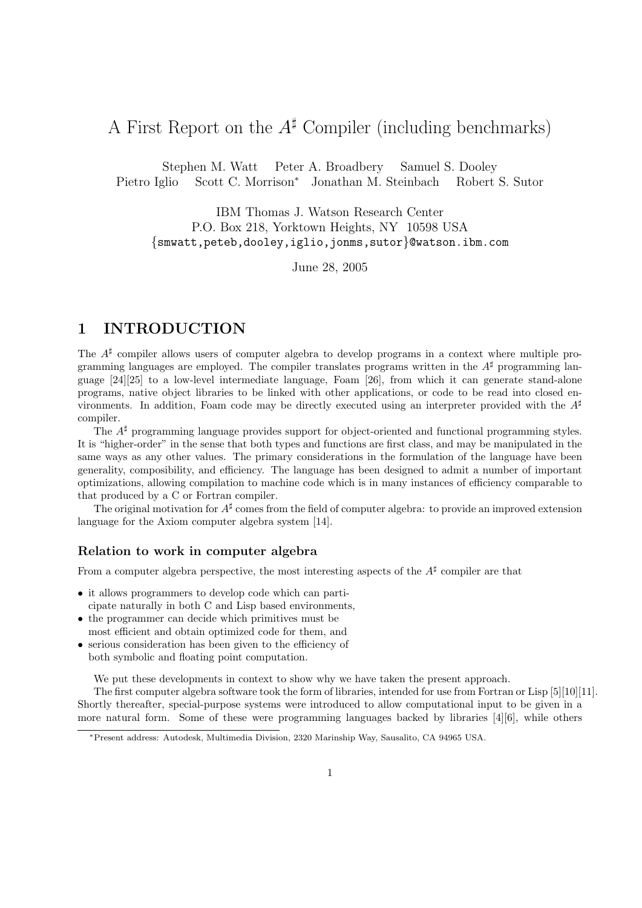# A First Report on the  $A^{\sharp}$  Compiler (including benchmarks)

Stephen M. Watt Peter A. Broadbery Samuel S. Dooley Pietro Iglio Scott C. Morrison<sup>∗</sup> Jonathan M. Steinbach Robert S. Sutor

IBM Thomas J. Watson Research Center P.O. Box 218, Yorktown Heights, NY 10598 USA {smwatt,peteb,dooley,iglio,jonms,sutor}@watson.ibm.com

June 28, 2005

# 1 INTRODUCTION

The  $A^{\sharp}$  compiler allows users of computer algebra to develop programs in a context where multiple programming languages are employed. The compiler translates programs written in the  $A^{\sharp}$  programming language [24][25] to a low-level intermediate language, Foam [26], from which it can generate stand-alone programs, native object libraries to be linked with other applications, or code to be read into closed environments. In addition, Foam code may be directly executed using an interpreter provided with the  $A^{\sharp}$ compiler.

The  $A^{\sharp}$  programming language provides support for object-oriented and functional programming styles. It is "higher-order" in the sense that both types and functions are first class, and may be manipulated in the same ways as any other values. The primary considerations in the formulation of the language have been generality, composibility, and efficiency. The language has been designed to admit a number of important optimizations, allowing compilation to machine code which is in many instances of efficiency comparable to that produced by a C or Fortran compiler.

The original motivation for  $A^{\sharp}$  comes from the field of computer algebra: to provide an improved extension language for the Axiom computer algebra system [14].

### Relation to work in computer algebra

From a computer algebra perspective, the most interesting aspects of the  $A^{\sharp}$  compiler are that

- it allows programmers to develop code which can participate naturally in both C and Lisp based environments,
- the programmer can decide which primitives must be most efficient and obtain optimized code for them, and
- serious consideration has been given to the efficiency of both symbolic and floating point computation.

We put these developments in context to show why we have taken the present approach.

The first computer algebra software took the form of libraries, intended for use from Fortran or Lisp [5][10][11]. Shortly thereafter, special-purpose systems were introduced to allow computational input to be given in a more natural form. Some of these were programming languages backed by libraries [4][6], while others

<sup>∗</sup>Present address: Autodesk, Multimedia Division, 2320 Marinship Way, Sausalito, CA 94965 USA.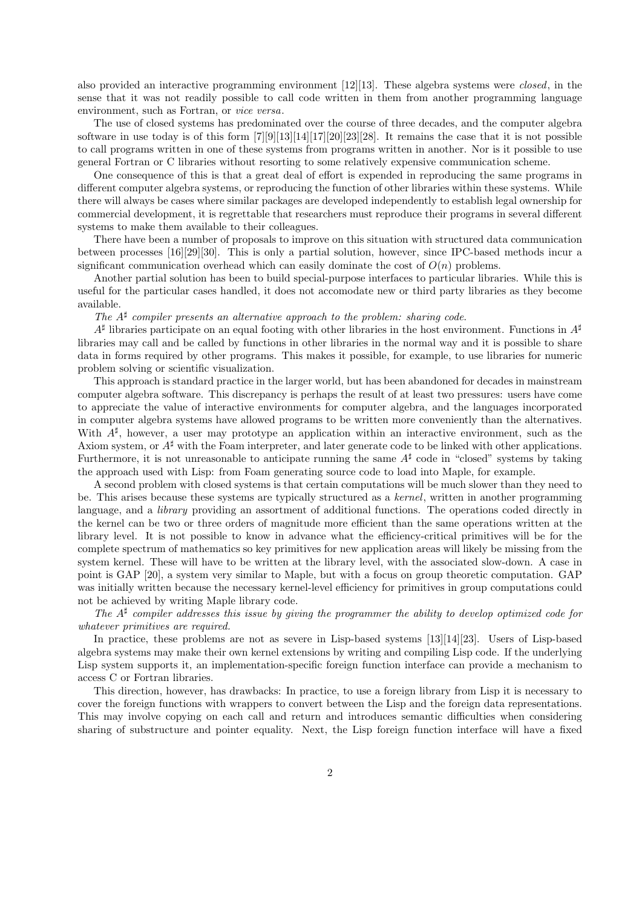also provided an interactive programming environment [12][13]. These algebra systems were closed, in the sense that it was not readily possible to call code written in them from another programming language environment, such as Fortran, or vice versa.

The use of closed systems has predominated over the course of three decades, and the computer algebra software in use today is of this form  $7|9|13|14|17|20|23|28$ . It remains the case that it is not possible to call programs written in one of these systems from programs written in another. Nor is it possible to use general Fortran or C libraries without resorting to some relatively expensive communication scheme.

One consequence of this is that a great deal of effort is expended in reproducing the same programs in different computer algebra systems, or reproducing the function of other libraries within these systems. While there will always be cases where similar packages are developed independently to establish legal ownership for commercial development, it is regrettable that researchers must reproduce their programs in several different systems to make them available to their colleagues.

There have been a number of proposals to improve on this situation with structured data communication between processes [16][29][30]. This is only a partial solution, however, since IPC-based methods incur a significant communication overhead which can easily dominate the cost of  $O(n)$  problems.

Another partial solution has been to build special-purpose interfaces to particular libraries. While this is useful for the particular cases handled, it does not accomodate new or third party libraries as they become available.

The  $A^{\sharp}$  compiler presents an alternative approach to the problem: sharing code.

 $A^{\sharp}$  libraries participate on an equal footing with other libraries in the host environment. Functions in  $A^{\sharp}$ libraries may call and be called by functions in other libraries in the normal way and it is possible to share data in forms required by other programs. This makes it possible, for example, to use libraries for numeric problem solving or scientific visualization.

This approach is standard practice in the larger world, but has been abandoned for decades in mainstream computer algebra software. This discrepancy is perhaps the result of at least two pressures: users have come to appreciate the value of interactive environments for computer algebra, and the languages incorporated in computer algebra systems have allowed programs to be written more conveniently than the alternatives. With  $A^{\sharp}$ , however, a user may prototype an application within an interactive environment, such as the Axiom system, or  $A^{\sharp}$  with the Foam interpreter, and later generate code to be linked with other applications. Furthermore, it is not unreasonable to anticipate running the same  $A^{\sharp}$  code in "closed" systems by taking the approach used with Lisp: from Foam generating source code to load into Maple, for example.

A second problem with closed systems is that certain computations will be much slower than they need to be. This arises because these systems are typically structured as a kernel, written in another programming language, and a *library* providing an assortment of additional functions. The operations coded directly in the kernel can be two or three orders of magnitude more efficient than the same operations written at the library level. It is not possible to know in advance what the efficiency-critical primitives will be for the complete spectrum of mathematics so key primitives for new application areas will likely be missing from the system kernel. These will have to be written at the library level, with the associated slow-down. A case in point is GAP [20], a system very similar to Maple, but with a focus on group theoretic computation. GAP was initially written because the necessary kernel-level efficiency for primitives in group computations could not be achieved by writing Maple library code.

The  $A^{\sharp}$  compiler addresses this issue by giving the programmer the ability to develop optimized code for whatever primitives are required.

In practice, these problems are not as severe in Lisp-based systems [13][14][23]. Users of Lisp-based algebra systems may make their own kernel extensions by writing and compiling Lisp code. If the underlying Lisp system supports it, an implementation-specific foreign function interface can provide a mechanism to access C or Fortran libraries.

This direction, however, has drawbacks: In practice, to use a foreign library from Lisp it is necessary to cover the foreign functions with wrappers to convert between the Lisp and the foreign data representations. This may involve copying on each call and return and introduces semantic difficulties when considering sharing of substructure and pointer equality. Next, the Lisp foreign function interface will have a fixed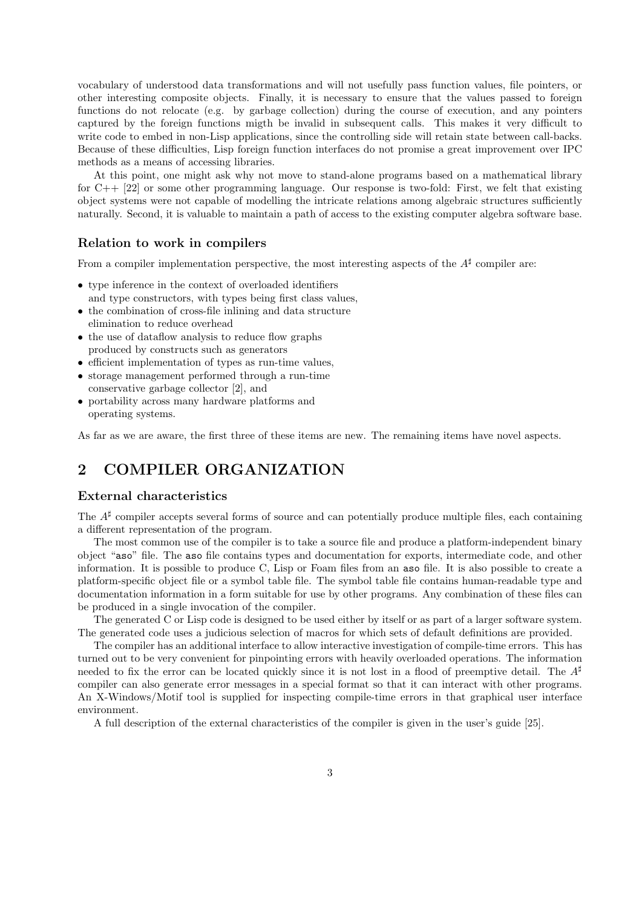vocabulary of understood data transformations and will not usefully pass function values, file pointers, or other interesting composite objects. Finally, it is necessary to ensure that the values passed to foreign functions do not relocate (e.g. by garbage collection) during the course of execution, and any pointers captured by the foreign functions migth be invalid in subsequent calls. This makes it very difficult to write code to embed in non-Lisp applications, since the controlling side will retain state between call-backs. Because of these difficulties, Lisp foreign function interfaces do not promise a great improvement over IPC methods as a means of accessing libraries.

At this point, one might ask why not move to stand-alone programs based on a mathematical library for C++ [22] or some other programming language. Our response is two-fold: First, we felt that existing object systems were not capable of modelling the intricate relations among algebraic structures sufficiently naturally. Second, it is valuable to maintain a path of access to the existing computer algebra software base.

#### Relation to work in compilers

From a compiler implementation perspective, the most interesting aspects of the  $A^{\sharp}$  compiler are:

- type inference in the context of overloaded identifiers and type constructors, with types being first class values,
- the combination of cross-file inlining and data structure elimination to reduce overhead
- the use of dataflow analysis to reduce flow graphs produced by constructs such as generators
- efficient implementation of types as run-time values,
- storage management performed through a run-time conservative garbage collector [2], and
- portability across many hardware platforms and operating systems.

As far as we are aware, the first three of these items are new. The remaining items have novel aspects.

# 2 COMPILER ORGANIZATION

#### External characteristics

The  $A^{\sharp}$  compiler accepts several forms of source and can potentially produce multiple files, each containing a different representation of the program.

The most common use of the compiler is to take a source file and produce a platform-independent binary object "aso" file. The aso file contains types and documentation for exports, intermediate code, and other information. It is possible to produce C, Lisp or Foam files from an aso file. It is also possible to create a platform-specific object file or a symbol table file. The symbol table file contains human-readable type and documentation information in a form suitable for use by other programs. Any combination of these files can be produced in a single invocation of the compiler.

The generated C or Lisp code is designed to be used either by itself or as part of a larger software system. The generated code uses a judicious selection of macros for which sets of default definitions are provided.

The compiler has an additional interface to allow interactive investigation of compile-time errors. This has turned out to be very convenient for pinpointing errors with heavily overloaded operations. The information needed to fix the error can be located quickly since it is not lost in a flood of preemptive detail. The  $A^{\sharp}$ compiler can also generate error messages in a special format so that it can interact with other programs. An X-Windows/Motif tool is supplied for inspecting compile-time errors in that graphical user interface environment.

A full description of the external characteristics of the compiler is given in the user's guide [25].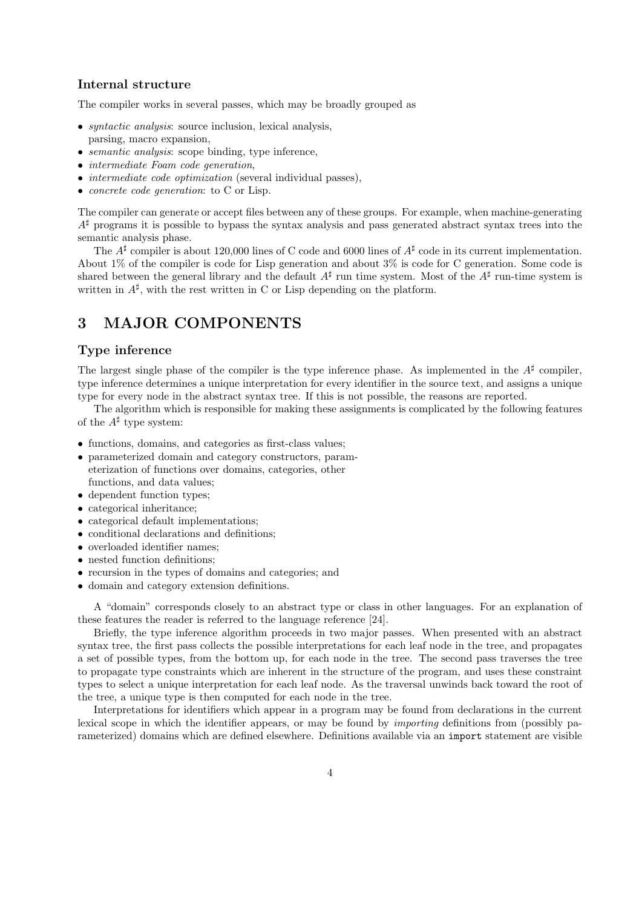#### Internal structure

The compiler works in several passes, which may be broadly grouped as

- *suntactic analysis*: source inclusion, lexical analysis,
- parsing, macro expansion,
- *semantic analysis:* scope binding, type inference,
- intermediate Foam code generation,
- *intermediate code optimization* (several individual passes),
- *concrete code generation*: to C or Lisp.

The compiler can generate or accept files between any of these groups. For example, when machine-generating  $A^{\sharp}$  programs it is possible to bypass the syntax analysis and pass generated abstract syntax trees into the semantic analysis phase.

The  $A^{\sharp}$  compiler is about 120,000 lines of C code and 6000 lines of  $A^{\sharp}$  code in its current implementation. About 1% of the compiler is code for Lisp generation and about 3% is code for C generation. Some code is shared between the general library and the default  $A^{\sharp}$  run time system. Most of the  $A^{\sharp}$  run-time system is written in  $A^{\sharp}$ , with the rest written in C or Lisp depending on the platform.

# 3 MAJOR COMPONENTS

### Type inference

The largest single phase of the compiler is the type inference phase. As implemented in the  $A^{\sharp}$  compiler, type inference determines a unique interpretation for every identifier in the source text, and assigns a unique type for every node in the abstract syntax tree. If this is not possible, the reasons are reported.

The algorithm which is responsible for making these assignments is complicated by the following features of the  $A^{\sharp}$  type system:

- functions, domains, and categories as first-class values;
- parameterized domain and category constructors, parameterization of functions over domains, categories, other functions, and data values;
- dependent function types;
- categorical inheritance;
- categorical default implementations;
- conditional declarations and definitions;
- overloaded identifier names;
- nested function definitions;
- recursion in the types of domains and categories; and
- domain and category extension definitions.

A "domain" corresponds closely to an abstract type or class in other languages. For an explanation of these features the reader is referred to the language reference [24].

Briefly, the type inference algorithm proceeds in two major passes. When presented with an abstract syntax tree, the first pass collects the possible interpretations for each leaf node in the tree, and propagates a set of possible types, from the bottom up, for each node in the tree. The second pass traverses the tree to propagate type constraints which are inherent in the structure of the program, and uses these constraint types to select a unique interpretation for each leaf node. As the traversal unwinds back toward the root of the tree, a unique type is then computed for each node in the tree.

Interpretations for identifiers which appear in a program may be found from declarations in the current lexical scope in which the identifier appears, or may be found by importing definitions from (possibly parameterized) domains which are defined elsewhere. Definitions available via an import statement are visible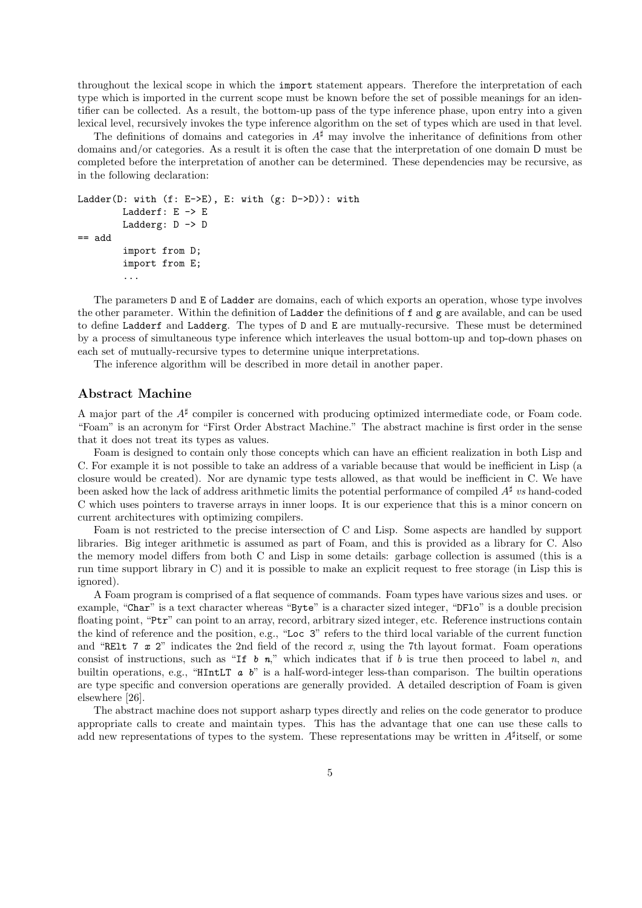throughout the lexical scope in which the import statement appears. Therefore the interpretation of each type which is imported in the current scope must be known before the set of possible meanings for an identifier can be collected. As a result, the bottom-up pass of the type inference phase, upon entry into a given lexical level, recursively invokes the type inference algorithm on the set of types which are used in that level.

The definitions of domains and categories in  $A^{\sharp}$  may involve the inheritance of definitions from other domains and/or categories. As a result it is often the case that the interpretation of one domain D must be completed before the interpretation of another can be determined. These dependencies may be recursive, as in the following declaration:

```
Ladder(D: with (f: E->E), E: with (g: D->D)): with
        Ladderf: E \rightarrow ELadderg: D -> D
== add
        import from D;
        import from E;
         ...
```
The parameters D and E of Ladder are domains, each of which exports an operation, whose type involves the other parameter. Within the definition of Ladder the definitions of f and g are available, and can be used to define Ladderf and Ladderg. The types of D and E are mutually-recursive. These must be determined by a process of simultaneous type inference which interleaves the usual bottom-up and top-down phases on each set of mutually-recursive types to determine unique interpretations.

The inference algorithm will be described in more detail in another paper.

#### Abstract Machine

A major part of the  $A^{\sharp}$  compiler is concerned with producing optimized intermediate code, or Foam code. "Foam" is an acronym for "First Order Abstract Machine." The abstract machine is first order in the sense that it does not treat its types as values.

Foam is designed to contain only those concepts which can have an efficient realization in both Lisp and C. For example it is not possible to take an address of a variable because that would be inefficient in Lisp (a closure would be created). Nor are dynamic type tests allowed, as that would be inefficient in C. We have been asked how the lack of address arithmetic limits the potential performance of compiled  $A^{\sharp}$  vs hand-coded C which uses pointers to traverse arrays in inner loops. It is our experience that this is a minor concern on current architectures with optimizing compilers.

Foam is not restricted to the precise intersection of C and Lisp. Some aspects are handled by support libraries. Big integer arithmetic is assumed as part of Foam, and this is provided as a library for C. Also the memory model differs from both C and Lisp in some details: garbage collection is assumed (this is a run time support library in C) and it is possible to make an explicit request to free storage (in Lisp this is ignored).

A Foam program is comprised of a flat sequence of commands. Foam types have various sizes and uses. or example, "Char" is a text character whereas "Byte" is a character sized integer, "DFlo" is a double precision floating point, "Ptr" can point to an array, record, arbitrary sized integer, etc. Reference instructions contain the kind of reference and the position, e.g., "Loc 3" refers to the third local variable of the current function and "RELT 7  $x$  2" indicates the 2nd field of the record x, using the 7th layout format. Foam operations consist of instructions, such as "If  $\mathfrak{b}$  n," which indicates that if  $\mathfrak{b}$  is true then proceed to label n, and builtin operations, e.g., "HIntLT  $a \, b$ " is a half-word-integer less-than comparison. The builtin operations are type specific and conversion operations are generally provided. A detailed description of Foam is given elsewhere [26].

The abstract machine does not support asharp types directly and relies on the code generator to produce appropriate calls to create and maintain types. This has the advantage that one can use these calls to add new representations of types to the system. These representations may be written in  $A^{\sharp}$  itself, or some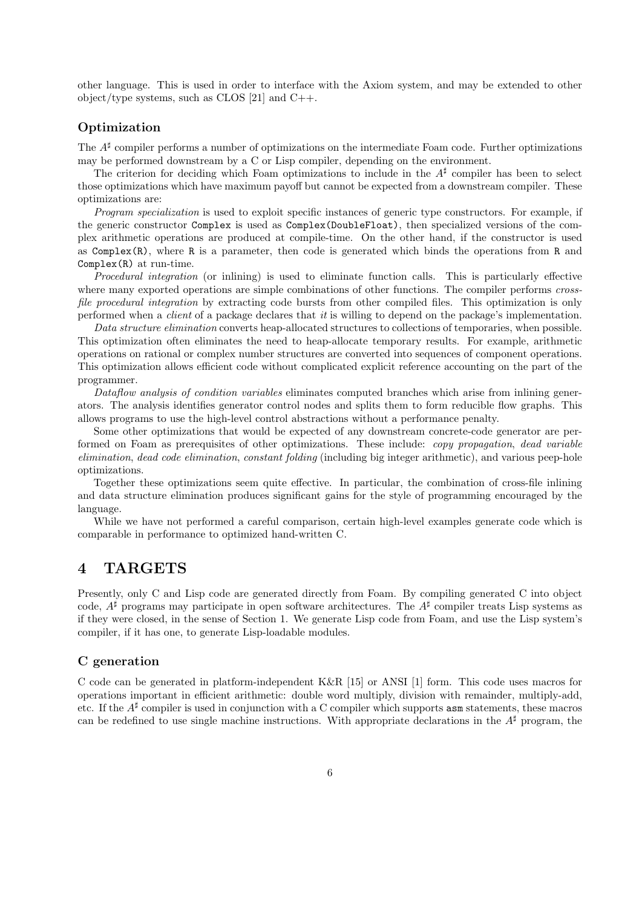other language. This is used in order to interface with the Axiom system, and may be extended to other object/type systems, such as CLOS [21] and  $C_{++}$ .

#### Optimization

The  $A^{\sharp}$  compiler performs a number of optimizations on the intermediate Foam code. Further optimizations may be performed downstream by a C or Lisp compiler, depending on the environment.

The criterion for deciding which Foam optimizations to include in the  $A^{\sharp}$  compiler has been to select those optimizations which have maximum payoff but cannot be expected from a downstream compiler. These optimizations are:

Program specialization is used to exploit specific instances of generic type constructors. For example, if the generic constructor Complex is used as Complex(DoubleFloat), then specialized versions of the complex arithmetic operations are produced at compile-time. On the other hand, if the constructor is used as Complex(R), where R is a parameter, then code is generated which binds the operations from R and Complex(R) at run-time.

Procedural integration (or inlining) is used to eliminate function calls. This is particularly effective where many exported operations are simple combinations of other functions. The compiler performs *cross*file procedural integration by extracting code bursts from other compiled files. This optimization is only performed when a client of a package declares that it is willing to depend on the package's implementation.

Data structure elimination converts heap-allocated structures to collections of temporaries, when possible. This optimization often eliminates the need to heap-allocate temporary results. For example, arithmetic operations on rational or complex number structures are converted into sequences of component operations. This optimization allows efficient code without complicated explicit reference accounting on the part of the programmer.

Dataflow analysis of condition variables eliminates computed branches which arise from inlining generators. The analysis identifies generator control nodes and splits them to form reducible flow graphs. This allows programs to use the high-level control abstractions without a performance penalty.

Some other optimizations that would be expected of any downstream concrete-code generator are performed on Foam as prerequisites of other optimizations. These include: copy propagation, dead variable elimination, dead code elimination, constant folding (including big integer arithmetic), and various peep-hole optimizations.

Together these optimizations seem quite effective. In particular, the combination of cross-file inlining and data structure elimination produces significant gains for the style of programming encouraged by the language.

While we have not performed a careful comparison, certain high-level examples generate code which is comparable in performance to optimized hand-written C.

### 4 TARGETS

Presently, only C and Lisp code are generated directly from Foam. By compiling generated C into object code,  $A^{\sharp}$  programs may participate in open software architectures. The  $A^{\sharp}$  compiler treats Lisp systems as if they were closed, in the sense of Section 1. We generate Lisp code from Foam, and use the Lisp system's compiler, if it has one, to generate Lisp-loadable modules.

#### C generation

C code can be generated in platform-independent K&R [15] or ANSI [1] form. This code uses macros for operations important in efficient arithmetic: double word multiply, division with remainder, multiply-add, etc. If the  $A^{\sharp}$  compiler is used in conjunction with a C compiler which supports asm statements, these macros can be redefined to use single machine instructions. With appropriate declarations in the  $A^{\sharp}$  program, the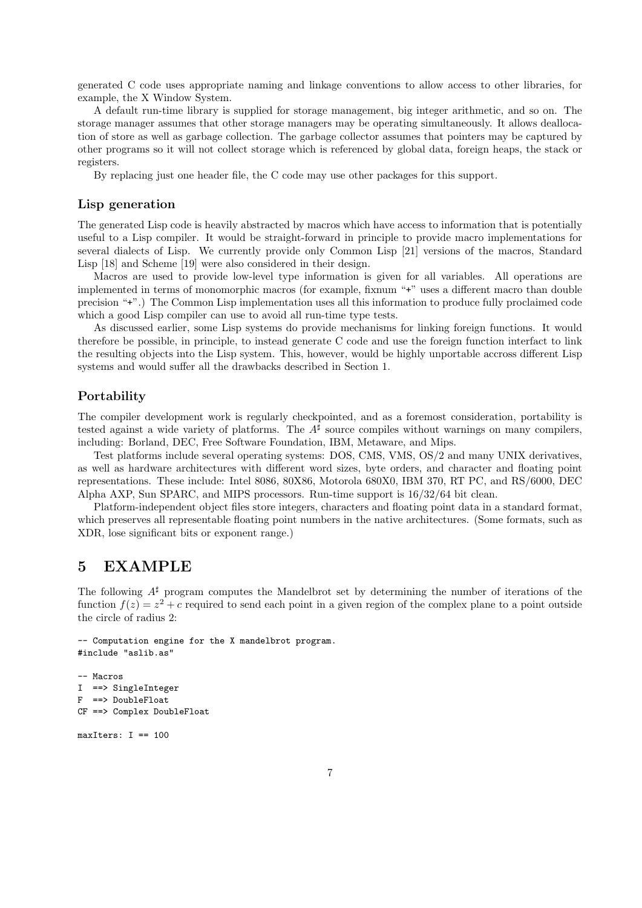generated C code uses appropriate naming and linkage conventions to allow access to other libraries, for example, the X Window System.

A default run-time library is supplied for storage management, big integer arithmetic, and so on. The storage manager assumes that other storage managers may be operating simultaneously. It allows deallocation of store as well as garbage collection. The garbage collector assumes that pointers may be captured by other programs so it will not collect storage which is referenced by global data, foreign heaps, the stack or registers.

By replacing just one header file, the C code may use other packages for this support.

#### Lisp generation

The generated Lisp code is heavily abstracted by macros which have access to information that is potentially useful to a Lisp compiler. It would be straight-forward in principle to provide macro implementations for several dialects of Lisp. We currently provide only Common Lisp [21] versions of the macros, Standard Lisp [18] and Scheme [19] were also considered in their design.

Macros are used to provide low-level type information is given for all variables. All operations are implemented in terms of monomorphic macros (for example, fixnum "+" uses a different macro than double precision "+".) The Common Lisp implementation uses all this information to produce fully proclaimed code which a good Lisp compiler can use to avoid all run-time type tests.

As discussed earlier, some Lisp systems do provide mechanisms for linking foreign functions. It would therefore be possible, in principle, to instead generate C code and use the foreign function interfact to link the resulting objects into the Lisp system. This, however, would be highly unportable accross different Lisp systems and would suffer all the drawbacks described in Section 1.

#### Portability

The compiler development work is regularly checkpointed, and as a foremost consideration, portability is tested against a wide variety of platforms. The  $A^{\sharp}$  source compiles without warnings on many compilers, including: Borland, DEC, Free Software Foundation, IBM, Metaware, and Mips.

Test platforms include several operating systems: DOS, CMS, VMS, OS/2 and many UNIX derivatives, as well as hardware architectures with different word sizes, byte orders, and character and floating point representations. These include: Intel 8086, 80X86, Motorola 680X0, IBM 370, RT PC, and RS/6000, DEC Alpha AXP, Sun SPARC, and MIPS processors. Run-time support is 16/32/64 bit clean.

Platform-independent object files store integers, characters and floating point data in a standard format, which preserves all representable floating point numbers in the native architectures. (Some formats, such as XDR, lose significant bits or exponent range.)

### 5 EXAMPLE

The following  $A^{\sharp}$  program computes the Mandelbrot set by determining the number of iterations of the function  $f(z) = z^2 + c$  required to send each point in a given region of the complex plane to a point outside the circle of radius 2:

```
-- Computation engine for the X mandelbrot program.
#include "aslib.as"
```

```
-- Macros
I ==> SingleInteger
F ==> DoubleFloat
CF ==> Complex DoubleFloat
```
 $maxIters: I == 100$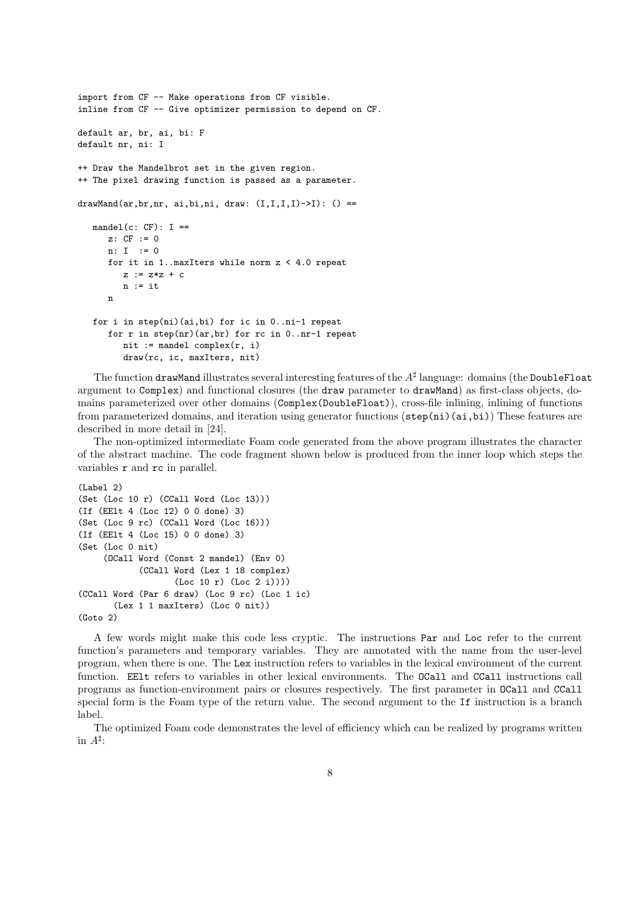```
import from CF -- Make operations from CF visible.
inline from CF -- Give optimizer permission to depend on CF.
default ar, br, ai, bi: F
default nr, ni: I
++ Draw the Mandelbrot set in the given region.
++ The pixel drawing function is passed as a parameter.
drawMand(ar,br,nr, ai,bi,ni, draw: (I, I, I, I)->I): () ==
   mandel(c: CF): I ==z: CF := 0n: I := 0
     for it in 1..maxIters while norm z < 4.0 repeat
        z := z * z + cn := itn
   for i in step(ni)(ai,bi) for ic in 0..ni-1 repeat
      for r in step(nr)(ar,br) for rc in 0..nr-1 repeat
         nit := mandel complex(r, i)draw(rc, ic, maxIters, nit)
```
The function drawMand illustrates several interesting features of the  $A^{\sharp}$  language: domains (the DoubleFloat argument to Complex) and functional closures (the draw parameter to drawMand) as first-class objects, domains parameterized over other domains (Complex(DoubleFloat)), cross-file inlining, inlining of functions from parameterized domains, and iteration using generator functions (step(ni)(ai,bi)) These features are described in more detail in [24].

The non-optimized intermediate Foam code generated from the above program illustrates the character of the abstract machine. The code fragment shown below is produced from the inner loop which steps the variables r and rc in parallel.

```
(Label 2)
(Set (Loc 10 r) (CCall Word (Loc 13)))
(If (EElt 4 (Loc 12) 0 0 done) 3)
(Set (Loc 9 rc) (CCall Word (Loc 16)))
(If (EElt 4 (Loc 15) 0 0 done) 3)
(Set (Loc 0 nit)
     (OCall Word (Const 2 mandel) (Env 0)
            (CCall Word (Lex 1 18 complex)
                   (Loc 10 r) (Loc 2 i))))
(CCall Word (Par 6 draw) (Loc 9 rc) (Loc 1 ic)
       (Lex 1 1 maxIters) (Loc 0 nit))
(Goto 2)
```
A few words might make this code less cryptic. The instructions Par and Loc refer to the current function's parameters and temporary variables. They are annotated with the name from the user-level program, when there is one. The Lex instruction refers to variables in the lexical environment of the current function. EElt refers to variables in other lexical environments. The OCall and CCall instructions call programs as function-environment pairs or closures respectively. The first parameter in OCall and CCall special form is the Foam type of the return value. The second argument to the If instruction is a branch label.

The optimized Foam code demonstrates the level of efficiency which can be realized by programs written in  $A^{\sharp}$ :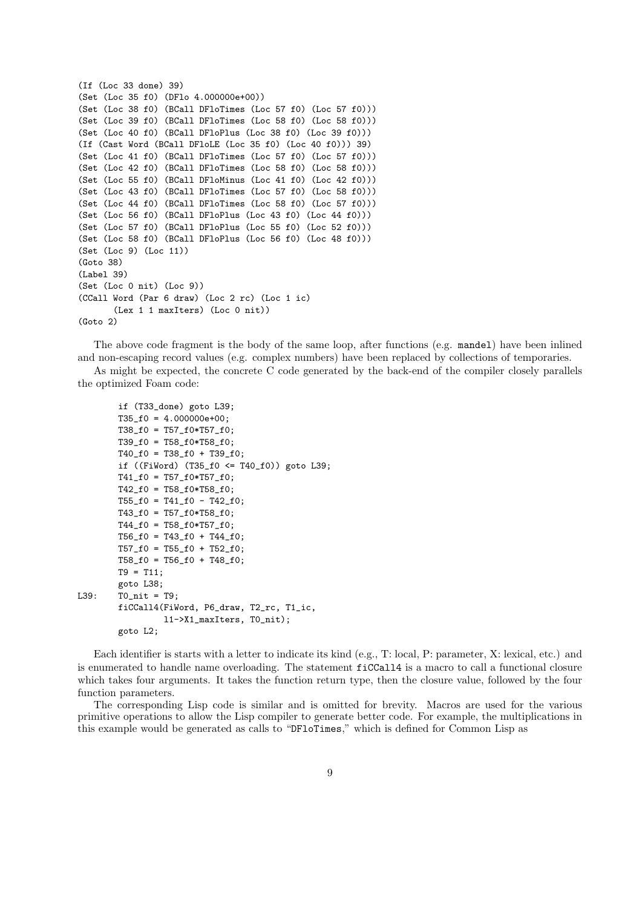```
(If (Loc 33 done) 39)
(Set (Loc 35 f0) (DFlo 4.000000e+00))
(Set (Loc 38 f0) (BCall DFloTimes (Loc 57 f0) (Loc 57 f0)))
(Set (Loc 39 f0) (BCall DFloTimes (Loc 58 f0) (Loc 58 f0)))
(Set (Loc 40 f0) (BCall DFloPlus (Loc 38 f0) (Loc 39 f0)))
(If (Cast Word (BCall DFloLE (Loc 35 f0) (Loc 40 f0))) 39)
(Set (Loc 41 f0) (BCall DFloTimes (Loc 57 f0) (Loc 57 f0)))
(Set (Loc 42 f0) (BCall DFloTimes (Loc 58 f0) (Loc 58 f0)))
(Set (Loc 55 f0) (BCall DFloMinus (Loc 41 f0) (Loc 42 f0)))
(Set (Loc 43 f0) (BCall DFloTimes (Loc 57 f0) (Loc 58 f0)))
(Set (Loc 44 f0) (BCall DFloTimes (Loc 58 f0) (Loc 57 f0)))
(Set (Loc 56 f0) (BCall DFloPlus (Loc 43 f0) (Loc 44 f0)))
(Set (Loc 57 f0) (BCall DFloPlus (Loc 55 f0) (Loc 52 f0)))
(Set (Loc 58 f0) (BCall DFloPlus (Loc 56 f0) (Loc 48 f0)))
(Set (Loc 9) (Loc 11))
(Goto 38)
(Label 39)
(Set (Loc 0 nit) (Loc 9))
(CCall Word (Par 6 draw) (Loc 2 rc) (Loc 1 ic)
       (Lex 1 1 maxIters) (Loc 0 nit))
(Goto 2)
```
The above code fragment is the body of the same loop, after functions (e.g. mandel) have been inlined and non-escaping record values (e.g. complex numbers) have been replaced by collections of temporaries.

As might be expected, the concrete C code generated by the back-end of the compiler closely parallels the optimized Foam code:

```
if (T33_done) goto L39;
        T35_f0 = 4.000000e+00;T38_f0 = T57_f0*T57_f0;
        T39_f0 = T58_f0*T58_f0;
        T40_f0 = T38_f0 + T39_f0;if ((FiWord) (T35_f0 \leq T40_f0)) goto L39;
        T41_f0 = T57_f0*T57_f0;T42_f0 = T58_f0*T58_f0;
        T55_f0 = T41_f0 - T42_f0;T43_f0 = T57_f0*T58_f0;
        T44_f0 = T58_f0*T57_f0;T56_f0 = T43_f0 + T44_f0;
        T57_f0 = T55_f0 + T52_f0;
        T58_f0 = T56_f0 + T48_f0;
        T9 = T11;
        goto L38;
L39: T0_nit = T9;
        fiCCall4(FiWord, P6_draw, T2_rc, T1_ic,
                 l1->X1_maxIters, T0_nit);
        goto L2;
```
Each identifier is starts with a letter to indicate its kind (e.g., T: local, P: parameter, X: lexical, etc.) and is enumerated to handle name overloading. The statement fiCCall4 is a macro to call a functional closure which takes four arguments. It takes the function return type, then the closure value, followed by the four function parameters.

The corresponding Lisp code is similar and is omitted for brevity. Macros are used for the various primitive operations to allow the Lisp compiler to generate better code. For example, the multiplications in this example would be generated as calls to "DFloTimes," which is defined for Common Lisp as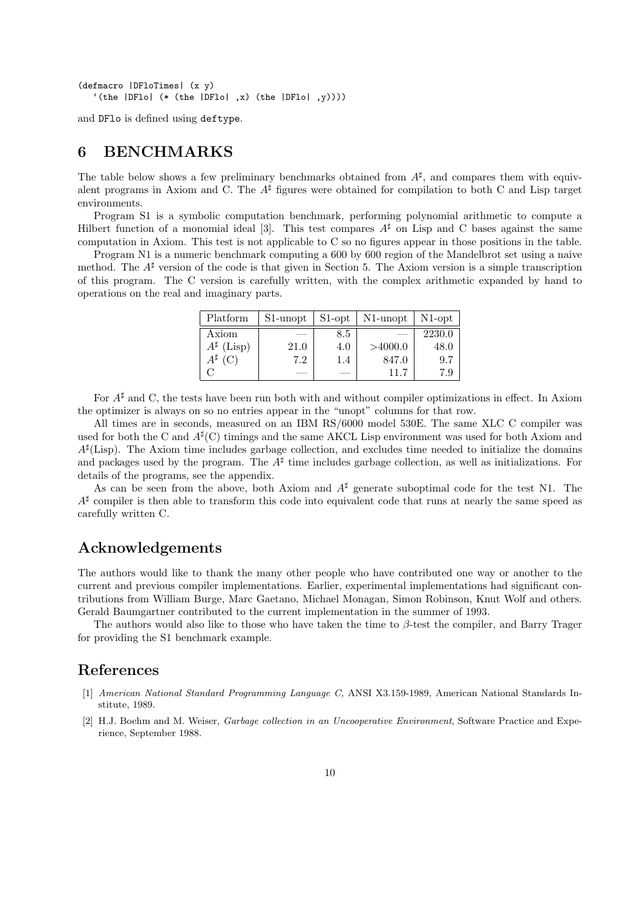(defmacro |DFloTimes| (x y)  $'$ (the |DFlo| (\* (the |DFlo| ,x) (the |DFlo| ,y)))

and DFlo is defined using deftype.

# 6 BENCHMARKS

The table below shows a few preliminary benchmarks obtained from  $A^{\sharp}$ , and compares them with equivalent programs in Axiom and C. The  $A^{\sharp}$  figures were obtained for compilation to both C and Lisp target environments.

Program S1 is a symbolic computation benchmark, performing polynomial arithmetic to compute a Hilbert function of a monomial ideal [3]. This test compares  $A^{\sharp}$  on Lisp and C bases against the same computation in Axiom. This test is not applicable to C so no figures appear in those positions in the table.

Program N1 is a numeric benchmark computing a 600 by 600 region of the Mandelbrot set using a naive method. The  $A^{\sharp}$  version of the code is that given in Section 5. The Axiom version is a simple transcription of this program. The C version is carefully written, with the complex arithmetic expanded by hand to operations on the real and imaginary parts.

| Platform            | S1-unopt | $S1$ -opt | N <sub>1</sub> -unopt | $N1$ -opt |
|---------------------|----------|-----------|-----------------------|-----------|
| Axiom               |          | 8.5       |                       | 2230.0    |
| $A^{\sharp}$ (Lisp) | 21.0     | 4.0       | >4000.0               | 48.0      |
| $A^\sharp$          | 7.2      | 1.4       | 847.0                 | 9.7       |
|                     |          |           | 11.7                  | 7.9       |

For  $A^{\sharp}$  and C, the tests have been run both with and without compiler optimizations in effect. In Axiom the optimizer is always on so no entries appear in the "unopt" columns for that row.

All times are in seconds, measured on an IBM RS/6000 model 530E. The same XLC C compiler was used for both the C and  $A^{\sharp}(\mathcal{C})$  timings and the same AKCL Lisp environment was used for both Axiom and  $A^{\sharp}$ (Lisp). The Axiom time includes garbage collection, and excludes time needed to initialize the domains and packages used by the program. The  $A^{\sharp}$  time includes garbage collection, as well as initializations. For details of the programs, see the appendix.

As can be seen from the above, both Axiom and  $A^{\sharp}$  generate suboptimal code for the test N1. The  $A^{\sharp}$  compiler is then able to transform this code into equivalent code that runs at nearly the same speed as carefully written C.

## Acknowledgements

The authors would like to thank the many other people who have contributed one way or another to the current and previous compiler implementations. Earlier, experimental implementations had significant contributions from William Burge, Marc Gaetano, Michael Monagan, Simon Robinson, Knut Wolf and others. Gerald Baumgartner contributed to the current implementation in the summer of 1993.

The authors would also like to those who have taken the time to  $\beta$ -test the compiler, and Barry Trager for providing the S1 benchmark example.

### References

- [1] American National Standard Programming Language C, ANSI X3.159-1989, American National Standards Institute, 1989.
- [2] H.J. Boehm and M. Weiser, Garbage collection in an Uncooperative Environment, Software Practice and Experience, September 1988.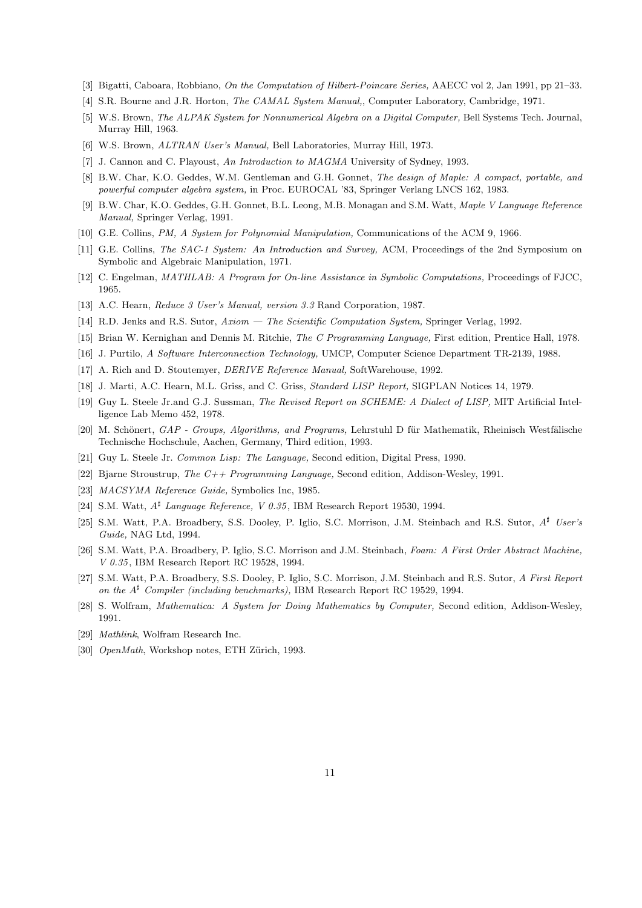- [3] Bigatti, Caboara, Robbiano, On the Computation of Hilbert-Poincare Series, AAECC vol 2, Jan 1991, pp 21–33.
- [4] S.R. Bourne and J.R. Horton, *The CAMAL System Manual*,, Computer Laboratory, Cambridge, 1971.
- [5] W.S. Brown, The ALPAK System for Nonnumerical Algebra on a Digital Computer, Bell Systems Tech. Journal, Murray Hill, 1963.
- [6] W.S. Brown, ALTRAN User's Manual, Bell Laboratories, Murray Hill, 1973.
- [7] J. Cannon and C. Playoust, An Introduction to MAGMA University of Sydney, 1993.
- [8] B.W. Char, K.O. Geddes, W.M. Gentleman and G.H. Gonnet, The design of Maple: A compact, portable, and powerful computer algebra system, in Proc. EUROCAL '83, Springer Verlang LNCS 162, 1983.
- [9] B.W. Char, K.O. Geddes, G.H. Gonnet, B.L. Leong, M.B. Monagan and S.M. Watt, Maple V Language Reference Manual, Springer Verlag, 1991.
- [10] G.E. Collins, PM, A System for Polynomial Manipulation, Communications of the ACM 9, 1966.
- [11] G.E. Collins, The SAC-1 System: An Introduction and Survey, ACM, Proceedings of the 2nd Symposium on Symbolic and Algebraic Manipulation, 1971.
- [12] C. Engelman, MATHLAB: A Program for On-line Assistance in Symbolic Computations, Proceedings of FJCC, 1965.
- [13] A.C. Hearn, Reduce 3 User's Manual, version 3.3 Rand Corporation, 1987.
- [14] R.D. Jenks and R.S. Sutor, Axiom The Scientific Computation System, Springer Verlag, 1992.
- [15] Brian W. Kernighan and Dennis M. Ritchie, The C Programming Language, First edition, Prentice Hall, 1978.
- [16] J. Purtilo, A Software Interconnection Technology, UMCP, Computer Science Department TR-2139, 1988.
- [17] A. Rich and D. Stoutemyer, DERIVE Reference Manual, SoftWarehouse, 1992.
- [18] J. Marti, A.C. Hearn, M.L. Griss, and C. Griss, Standard LISP Report, SIGPLAN Notices 14, 1979.
- [19] Guy L. Steele Jr.and G.J. Sussman, The Revised Report on SCHEME: A Dialect of LISP, MIT Artificial Intelligence Lab Memo 452, 1978.
- [20] M. Schönert, GAP Groups, Algorithms, and Programs, Lehrstuhl D für Mathematik, Rheinisch Westfälische Technische Hochschule, Aachen, Germany, Third edition, 1993.
- [21] Guy L. Steele Jr. Common Lisp: The Language, Second edition, Digital Press, 1990.
- [22] Bjarne Stroustrup, The C++ Programming Language, Second edition, Addison-Wesley, 1991.
- [23] MACSYMA Reference Guide, Symbolics Inc, 1985.
- [24] S.M. Watt,  $A^{\sharp}$  Language Reference, V 0.35, IBM Research Report 19530, 1994.
- [25] S.M. Watt, P.A. Broadbery, S.S. Dooley, P. Iglio, S.C. Morrison, J.M. Steinbach and R.S. Sutor,  $A^{\sharp}$  User's Guide, NAG Ltd, 1994.
- [26] S.M. Watt, P.A. Broadbery, P. Iglio, S.C. Morrison and J.M. Steinbach, Foam: A First Order Abstract Machine, V 0.35 , IBM Research Report RC 19528, 1994.
- [27] S.M. Watt, P.A. Broadbery, S.S. Dooley, P. Iglio, S.C. Morrison, J.M. Steinbach and R.S. Sutor, A First Report on the  $A^{\sharp}$  Compiler (including benchmarks), IBM Research Report RC 19529, 1994.
- [28] S. Wolfram, Mathematica: A System for Doing Mathematics by Computer, Second edition, Addison-Wesley, 1991.
- [29] Mathlink, Wolfram Research Inc.
- [30]  $OpenMath$ , Workshop notes, ETH Zürich, 1993.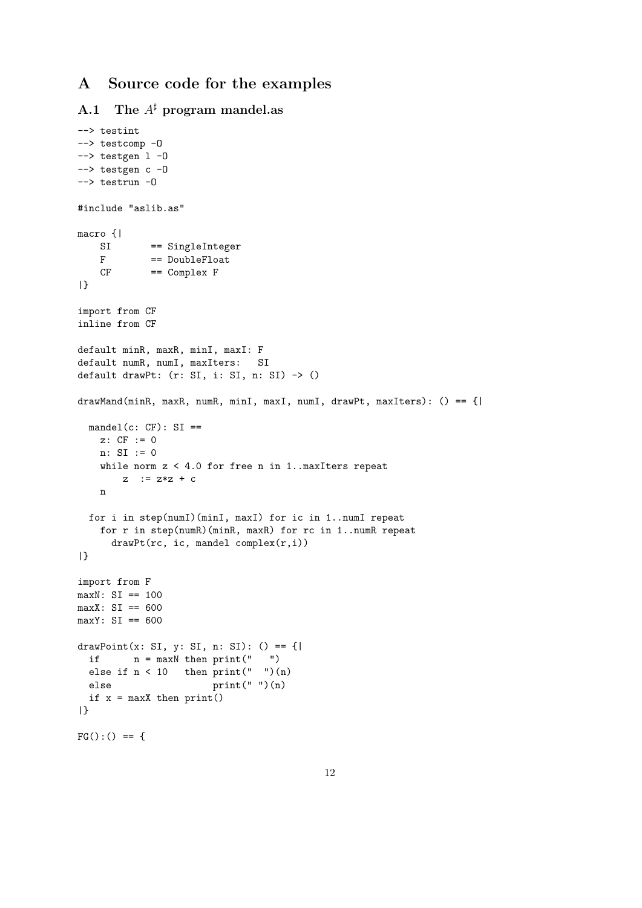# A Source code for the examples

A.1 The  $A^{\sharp}$  program mandel.as

```
--> testint
--> testcomp -O
\leftarrow testgen 1 - 0--> testgen c -O
--> testrun -O
#include "aslib.as"
macro {|
   SI == SingleInteger
   F == DoubleFloat
   CF == Complex F|}
import from CF
inline from CF
default minR, maxR, minI, maxI: F
default numR, numI, maxIters: SI
default drawPt: (r: SI, i: SI, n: SI) -> ()
drawMand(minR, maxR, numR, minI, maxI, numI, drawPt, maxIters): () == {|
 mandel(c: CF): SI ==z: CF := 0n: SI := 0
   while norm z < 4.0 for free n in 1. maxIters repeat
       z := z * z + cn
 for i in step(numI)(minI, maxI) for ic in 1..numI repeat
   for r in step(numR)(minR, maxR) for rc in 1..numR repeat
     drawPt(rc, ic, mandel complex(r,i))
|}
import from F
maxN: SI == 100
maxX: SI == 600maxY: SI == 600drawPoint(x: SI, y: SI, n: SI): () == {|
 if n = maxN then print(" "")else if n < 10 then print(" ")(n)else print(" ")(n)
 if x = maxX then print()|}
FG():() == {
```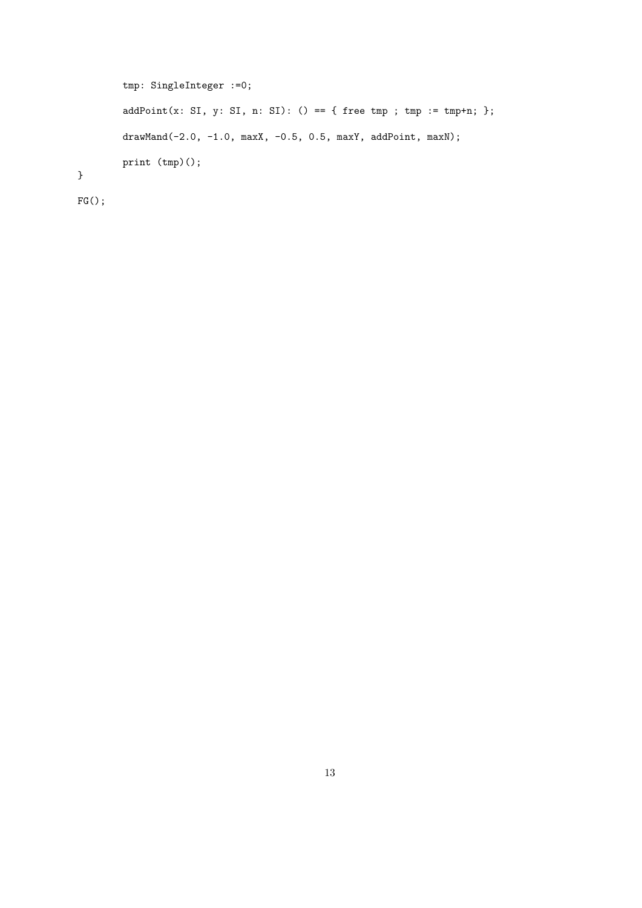```
tmp: SingleInteger :=0;
addPoint(x: SI, y: SI, n: SI): () == { free tmp ; tmp := tmp+n; };drawMand(-2.0, -1.0, maxX, -0.5, 0.5, maxY, addPoint, maxN);
print (tmp)();
```
 $FG()$ ;

}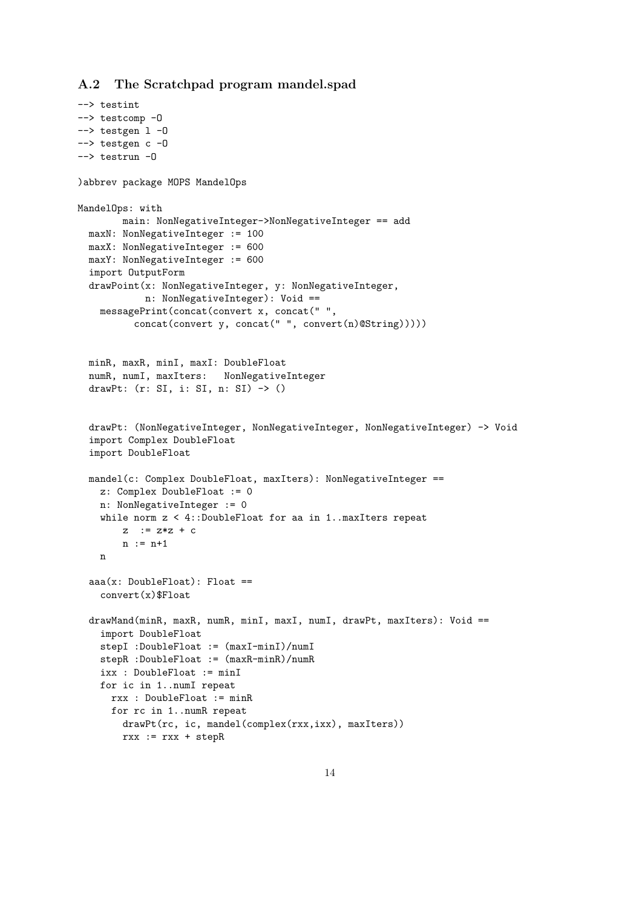#### A.2 The Scratchpad program mandel.spad

```
--> testint
--> testcomp -O
\leftarrow testgen 1 - 0--> testgen c -O
--> testrun -O
)abbrev package MOPS MandelOps
MandelOps: with
       main: NonNegativeInteger->NonNegativeInteger == add
  maxN: NonNegativeInteger := 100
  maxX: NonNegativeInteger := 600
  maxY: NonNegativeInteger := 600
  import OutputForm
  drawPoint(x: NonNegativeInteger, y: NonNegativeInteger,
            n: NonNegativeInteger): Void ==
    messagePrint(concat(convert x, concat(" ",
          concat(convert y, concat(" ", convert(n)@String)))))
  minR, maxR, minI, maxI: DoubleFloat
  numR, numI, maxIters: NonNegativeInteger
  drawPt: (r: SI, i: SI, n: SI) -> ()
  drawPt: (NonNegativeInteger, NonNegativeInteger, NonNegativeInteger) -> Void
  import Complex DoubleFloat
  import DoubleFloat
  mandel(c: Complex DoubleFloat, maxIters): NonNegativeInteger ==
    z: Complex DoubleFloat := 0
    n: NonNegativeInteger := 0
    while norm z < 4::DoubleFloat for aa in 1..maxIters repeat
       z := z*z + cn := n+1n
  aaa(x: DoubleFloat): Float ==
    convert(x)$Float
  drawMand(minR, maxR, numR, minI, maxI, numI, drawPt, maxIters): Void ==
    import DoubleFloat
    stepI :DoubleFloat := (maxI-minI)/numI
    stepR :DoubleFloat := (maxR-minR)/numR
    ixx : DoubleFloat := minI
    for ic in 1..numI repeat
     rxx : DoubleFloat := minR
     for rc in 1..numR repeat
        drawPt(rc, ic, mandel(complex(rxx,ixx), maxIters))
        rxx := rxx + stepR
```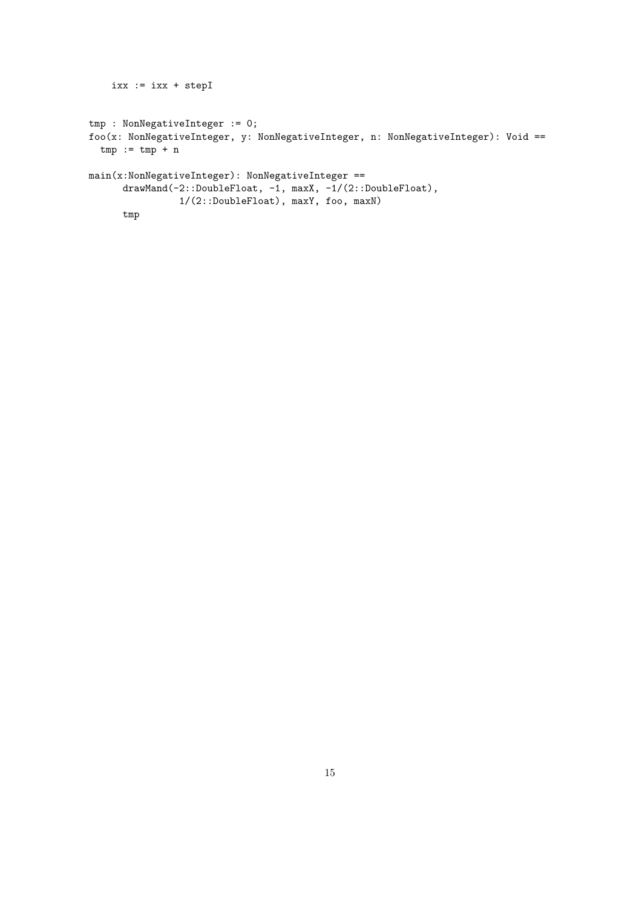```
ixx := ixx + stepI
tmp : NonNegativeInteger := 0;
foo(x: NonNegativeInteger, y: NonNegativeInteger, n: NonNegativeInteger): Void ==
  tmp := tmp + nmain(x:NonNegativeInteger): NonNegativeInteger ==
      drawMand(-2::DoubleFloat, -1, maxX, -1/(2::DoubleFloat),
                1/(2::DoubleFloat), maxY, foo, maxN)
      tmp
```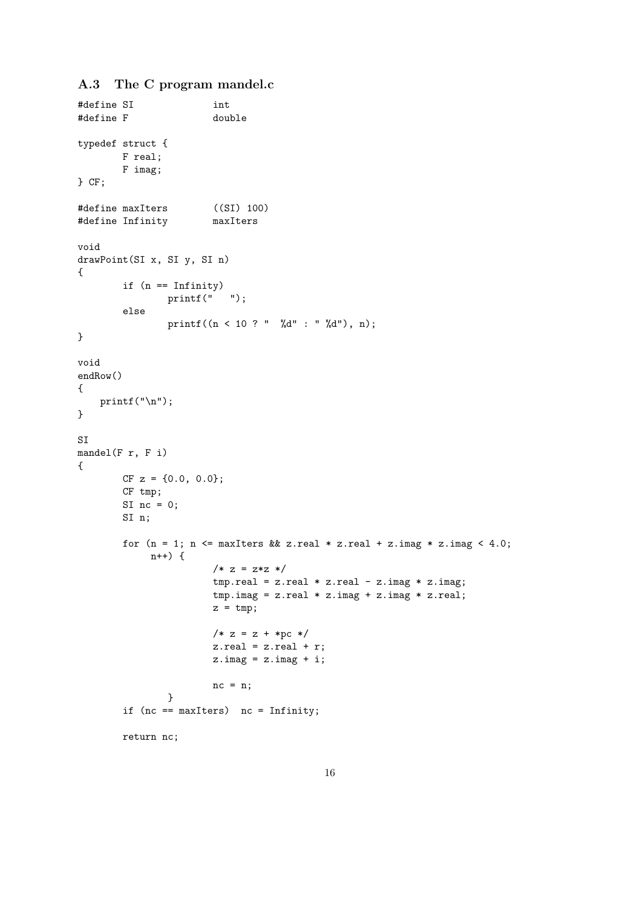# A.3 The C program mandel.c

```
#define SI int
#define F double
typedef struct {
       F real;
       F imag;
} CF;
#define maxIters ((SI) 100)
#define Infinity maxIters
void
drawPoint(SI x, SI y, SI n)
{
       if (n == Infinity)
              printf(" ");
       else
               printf((n < 10 ? " %d" : " %d"), n);
}
void
endRow()
{
   printf("\ln");
}
SI
mandel(F r, F i)
{
       CF z = \{0.0, 0.0\};CF tmp;
       SI nc = 0;
       SI n;
       for (n = 1; n \leq \text{maxIters } \& z.read * z.read + z.maxings * z.max]n++) {
                       /* z = z*z */tmp.read = z.read * z.read - z.max * z.max;tmp.inag = z.read * z.inag + z.inag * z.read;z = \text{tmp};/* z = z + *pc * /z.read = z.read + r;z.\texttt{imag} = z.\texttt{imag} + i;nc = n;}
       if (nc == maxIters) nc = Infinity;
       return nc;
```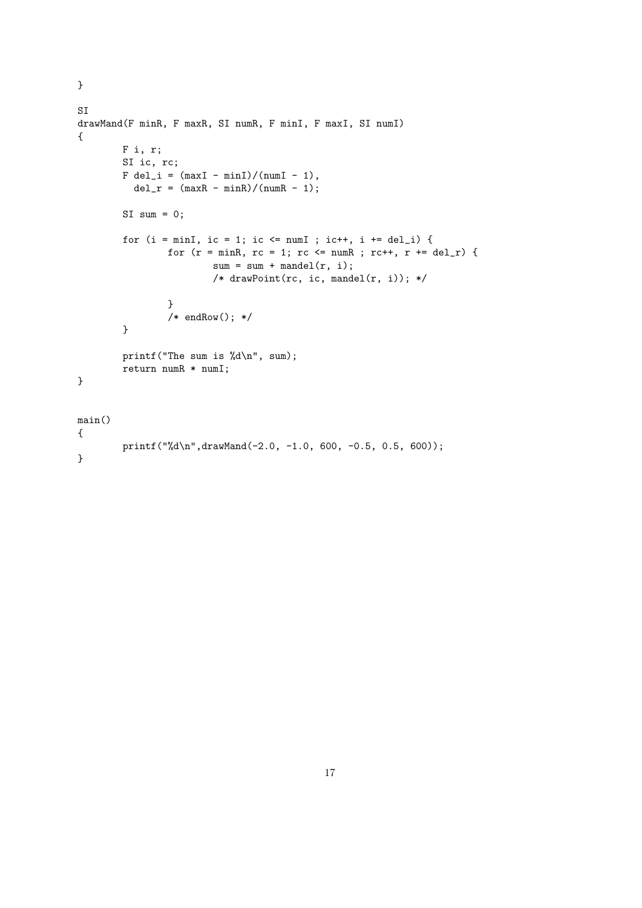```
SI
drawMand(F minR, F maxR, SI numR, F minI, F maxI, SI numI)
{
        F i, r;
        SI ic, rc;
        F \text{del}_i = (\text{maxI} - \text{minI})/(\text{numI} - 1),del_r = (maxR - minR)/(numR - 1);SI sum = 0;
        for (i = minI, ic = 1; ic <= numI; ic++, i += del_i) {
                 for (r = minR, rc = 1; rc \le numR ; rc++, r += del_r) {
                         sum = sum + mandel(r, i);/* drawPoint(rc, ic, mandel(r, i)); */
                 }
                 /* endRow(); */
        }
        printf("The sum is %d\n", sum);
        return numR * numI;
}
main()
{
        printf("%d\n",drawMand(-2.0, -1.0, 600, -0.5, 0.5, 600));
}
```
}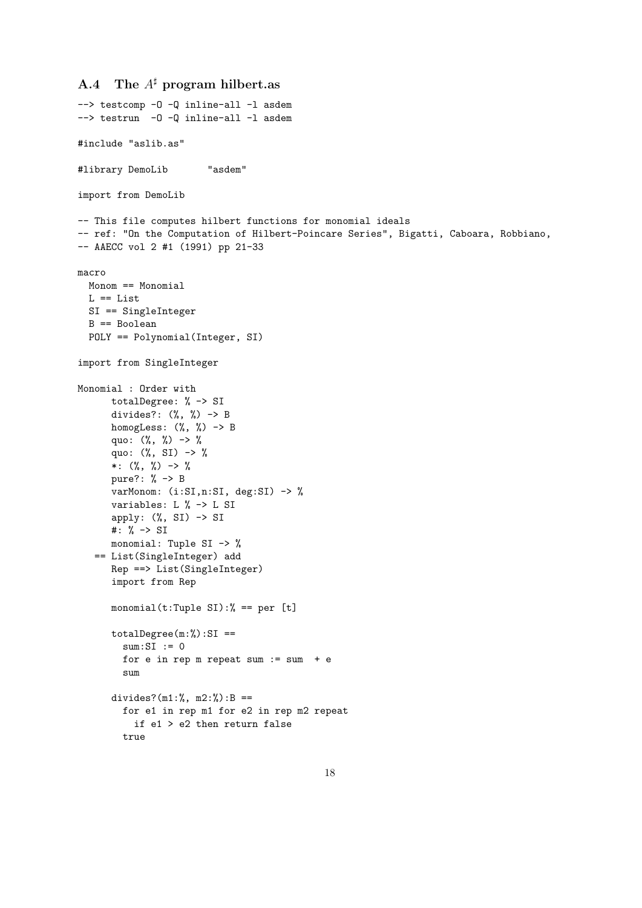#### A.4 The  $A^{\sharp}$  program hilbert.as

```
--> testcomp -0 -Q inline-all -1 asdem
--> testrun -0 -Q inline-all -1 asdem
#include "aslib.as"
#library DemoLib "asdem"
import from DemoLib
-- This file computes hilbert functions for monomial ideals
-- ref: "On the Computation of Hilbert-Poincare Series", Bigatti, Caboara, Robbiano,
-- AAECC vol 2 #1 (1991) pp 21-33
macro
  Monom == Monomial
  L = List
  SI == SingleInteger
  B == Boolean
  POLY == Polynomial(Integer, SI)
import from SingleInteger
Monomial : Order with
      totalDegree: % -> SI
      divides?: (%, %) -> B
      homogLess: (\%, \%) \rightarrow Bquo: (%, %) -> %
      quo: (\%, \, \text{SI}) \rightarrow %
      *: (\% , \% ) -> %
      pure?: % -> B
      varMonom: (i:SI,n:SI, deg:SI) \rightarrow %variables: L % -> L SI
      apply: (\%, \, \text{SI}) \rightarrow \text{SI}#: % -> SI
      monomial: Tuple SI -> %
   == List(SingleInteger) add
      Rep ==> List(SingleInteger)
      import from Rep
      monomial(t:Tuple SI):% == per [t]totalDegree(m:\%) : SI ==sum:SI := 0for e in rep m repeat sum := sum +esum
      divides?(m1:\%, m2:\%) : B ==for e1 in rep m1 for e2 in rep m2 repeat
          if e1 > e2 then return false
        true
```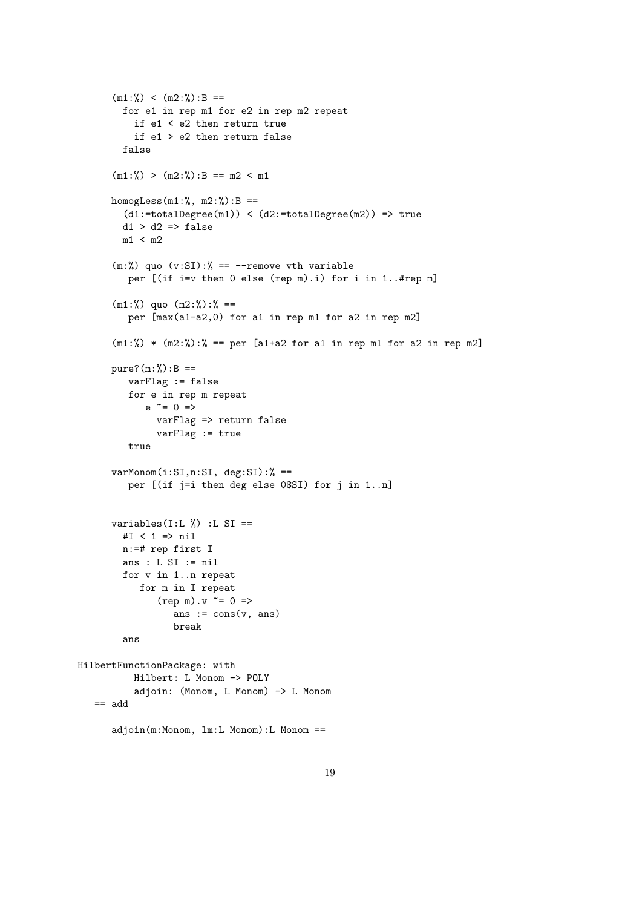```
(m1:\%) < (m2:\%): B ==
        for e1 in rep m1 for e2 in rep m2 repeat
          if e1 < e2 then return true
          if e1 > e2 then return false
        false
      (m1:%) > (m2:%): B == m2 < m1
      homogLess(m1:%, m2:%) : B ==(d1:=totalDegree(m1)) < (d2:=totalDegree(m2)) \Rightarrow trued1 > d2 => false
        m1 < m2
      (m:\%) quo (v:SI):\% == --remove vth variable
         per [(if i=v then 0 else (rep m).i) for i in 1..#rep m]
      (m1:\%) quo (m2:\%):\% ==per [max(a1-a2,0) for a1 in rep m1 for a2 in rep m2]
      (m1:\%) * (m2:\%) : % == per [a1+a2 for al in rep m1 for a2 in rep m2]pure?(m:%):B ==
         varFlag := false
         for e in rep m repeat
            e z = 0 \RightarrowvarFlag => return false
               varFlag := true
         true
      varMonom(i:SI,n:SI, deg:SI):% ==
         per [(if j=i then deg else 0$SI) for j in 1..n]
      variables(I:L \%) :L SI ==
        #I < 1 => nil
        n:=# rep first I
        ans : L SI := nilfor v in 1..n repeat
           for m in I repeat
               (\text{rep } m) \cdot v "= 0 =>
                  ans := \text{cons}(v, \text{ans})break
        ans
HilbertFunctionPackage: with
          Hilbert: L Monom -> POLY
          adjoin: (Monom, L Monom) -> L Monom
   == add
      adjoin(m:Monom, lm:L Monom):L Monom ==
```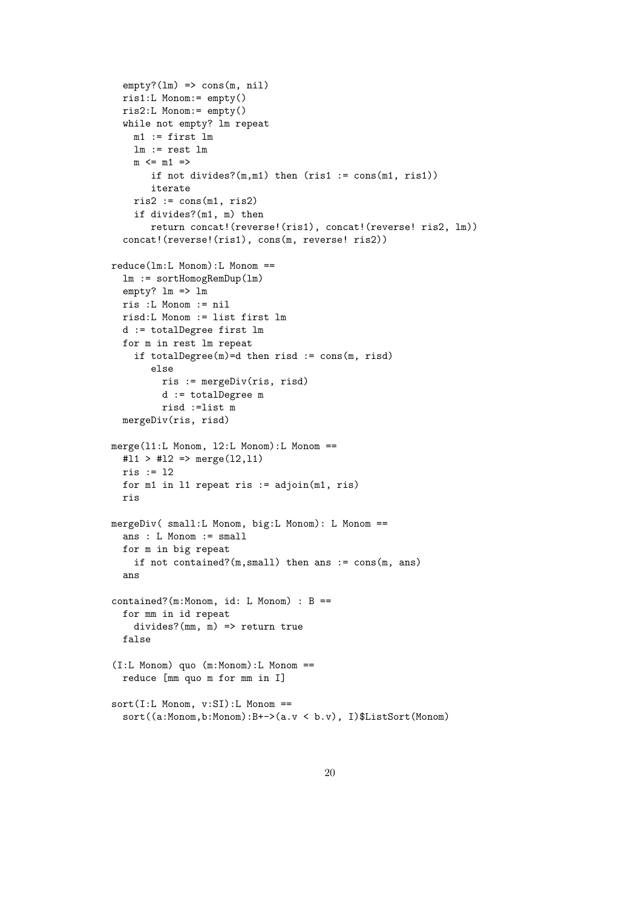```
empty?(lm) => cons(m, nil)ris1:L Monom:= empty()
  ris2:L Monom:= empty()
  while not empty? lm repeat
    m1 := first Imlm := rest lm
    m \leq m1 \impliesif not divides?(m,m1) then (ris1 := const(m1, ris1))iterate
    ris2 := cons(m1, ris2)if divides?(m1, m) then
       return concat!(reverse!(ris1), concat!(reverse! ris2, lm))
  concat!(reverse!(ris1), cons(m, reverse! ris2))
reduce(lm:L Monom):L Monom ==
  lm := sortHomogRemDup(lm)
  empty? lm => lm
  ris :L Monom := nil
  risd:L Monom := list first lm
  d := totalDegree first lm
  for m in rest lm repeat
    if totalDegree(m)=d then risd := cons(m, risd)
       else
         ris := mergeDiv(ris, risd)
         d := totalDegree m
         risd :=list m
  mergeDiv(ris, risd)
merge(l1:L Monom, l2:L Monom):L Monom ==
  #11 > #12 => merge(12,11)
  ris := l2
  for m1 in l1 repeat ris := adjoin(m1, ris)
  ris
mergeDiv( small:L Monom, big:L Monom): L Monom ==
  ans : L Monom := small
  for m in big repeat
    if not contained?(m, small) then ans := cons(m, ans)ans
contained?(m:Monom, id: L Monom) : B ==
  for mm in id repeat
    divides?(mm, m) => return true
  false
(I:L Monom) quo (m:Monom):L Monom ==
  reduce [mm quo m for mm in I]
sort(I:L Monom, v:SI):L Monom ==sort((a:Monom,b:Monom):B+->(a.v < b.v), I)$ListSort(Monom)
```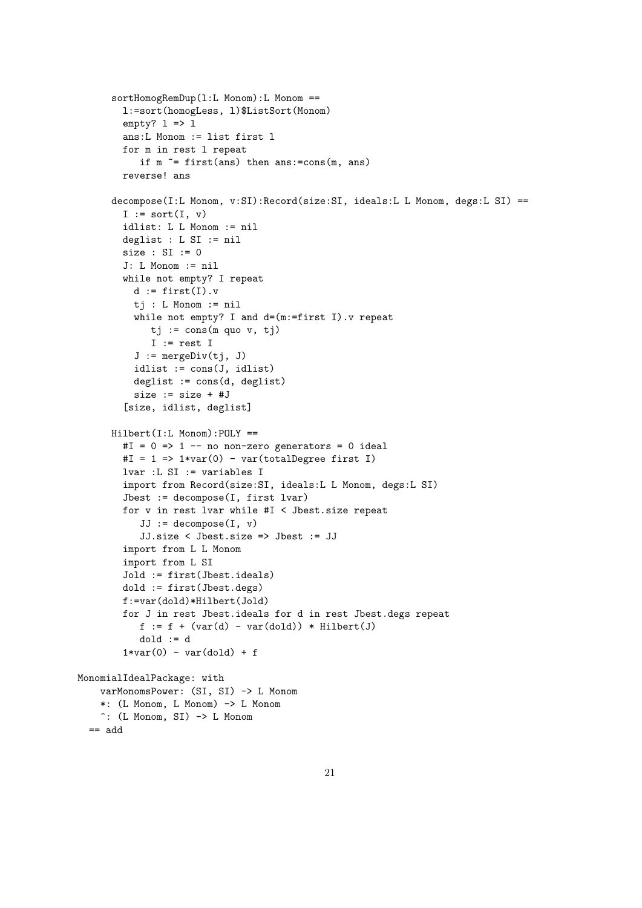```
sortHomogRemDup(l:L Monom):L Monom ==
        l:=sort(homogLess, l)$ListSort(Monom)
        empty? l \Rightarrow lans:L Monom := list first l
        for m in rest l repeat
           if m \approx first(ans) then ans:=cons(m, ans)
        reverse! ans
      decompose(I:L Monom, v:SI):Record(size:SI, ideals:L L Monom, degs:L SI) ==
        I := sort(I, v)idlist: L L Monom := nil
        deglist : L SI := nil
        size : SI := 0
        J: L Monom := nil
        while not empty? I repeat
          d := \text{first}(I).vtj : L Monom := nil
          while not empty? I and d=(m:=first I). v repeat
             tj := const(m quo v, tj)I := rest I
          J := mergeDiv(tj, J)
          idlist := cons(J, idlist)
          deglist := cons(d, deglist)
          size := size + #J
        [size, idlist, deglist]
      Hilbert(I:L Monom):POLY ==
        #I = 0 \Rightarrow 1 -- no non-zero generators = 0 ideal
        #I = 1 \Rightarrow 1*var(0) - var(totalDegree) first I)
        lvar :L SI := variables I
        import from Record(size:SI, ideals:L L Monom, degs:L SI)
        Jbest := decompose(I, first lvar)
        for v in rest lvar while #I < Jbest.size repeat
           JJ := decompose(I, v)JJ.size < Jbest.size => Jbest := JJ
        import from L L Monom
        import from L SI
        Jold := first(Jbest.ideals)
        dold := first(Jbest.degs)
        f:=var(dold)*Hilbert(Jold)
        for J in rest Jbest.ideals for d in rest Jbest.degs repeat
           f := f + (var(d) - var(dold)) * Hilbert(J)dold := d
        1*var(0) - var(dold) + fMonomialIdealPackage: with
    varMonomsPower: (SI, SI) -> L Monom
    *: (L Monom, L Monom) -> L Monom
    \hat{C}: (L Monom, SI) \rightarrow L Monom
```

```
== add
```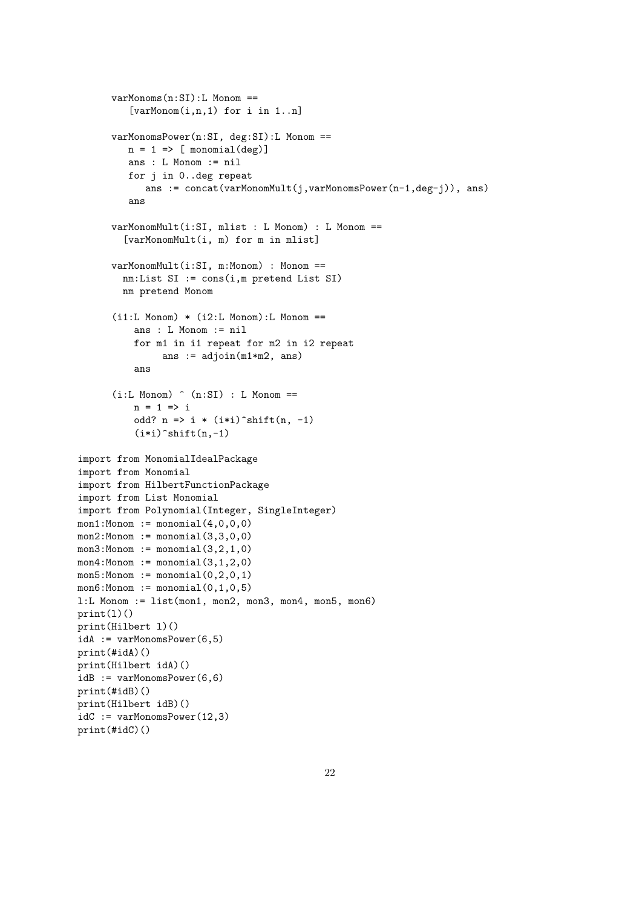```
varMomms(n:SI):L Monom =[varMonom(i,n,1) for i in 1..n]
      varMonomsPower(n:SI, deg:SI):L Monom ==
         n = 1 \Rightarrow [ monomial (deg)]
         ans : L Monom := nil
         for j in 0..deg repeat
            ans := concat(varMonomMult(j,varMonomsPower(n-1,deg-j)), ans)
         ans
      varMonomMult(i:SI, mlist : L Monom) : L Monom ==
        [varMonomMult(i, m) for m in mlist]
      varMonomMult(i:SI, m:Monom) : Monom ==
        nm:List SI := cons(i,m pretend List SI)
        nm pretend Monom
      (i1:L \tMonom) * (i2:L \tMonom) : L \tMonom ==ans : L Monom := nil
          for m1 in i1 repeat for m2 in i2 repeat
               ans := adjoin(m1*m2, ans)
          ans
      (i:L \tMonom) \hat{ } (n:SI) : L Monom ==
          n = 1 \Rightarrow iodd? n \Rightarrow i * (i * i)^*shift(n, -1)(i * i)shift(n, -1)import from MonomialIdealPackage
import from Monomial
import from HilbertFunctionPackage
import from List Monomial
import from Polynomial(Integer, SingleInteger)
mon1:Monom := monomial(4,0,0,0)mon2:Monom := monomial(3,3,0,0)mon3:Monom := monomial(3, 2, 1, 0)mon4:Monom := monomial(3,1,2,0)mon5:Monom := monomial(0, 2, 0, 1)mon6:Monom := monomial(0,1,0,5)l:L Monom := list(mon1, mon2, mon3, mon4, mon5, mon6)
print(1)()print(Hilbert l)()
idA := varMonomsPower(6,5)
print(#idA)()
print(Hilbert idA)()
idB := varMommsPower(6, 6)print(#idB)()
print(Hilbert idB)()
idC := varMommsPower(12,3)print(#idC)()
```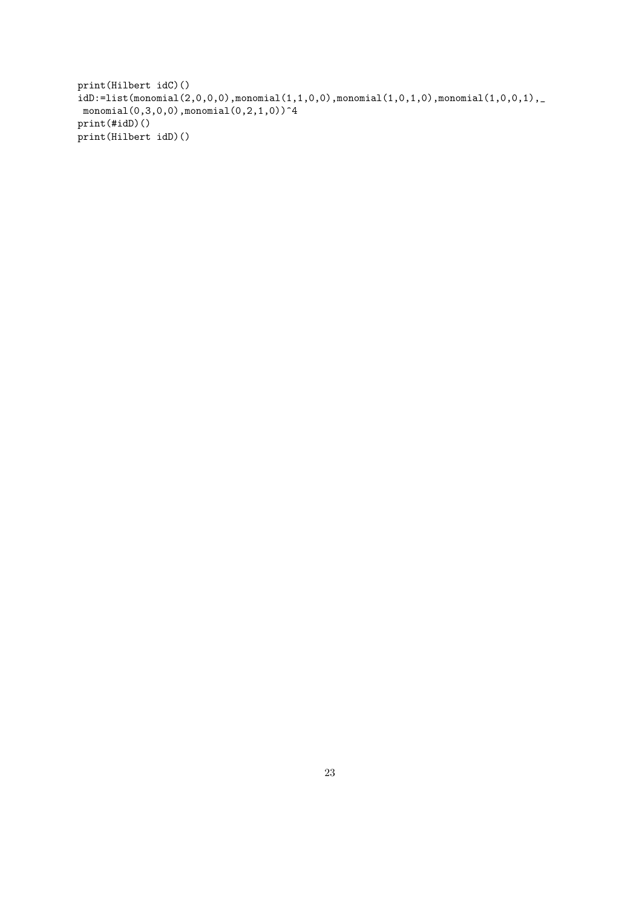```
print(Hilbert idC)()
idD:=list(monomial(2,0,0,0),monomial(1,1,0,0),monomial(1,0,1,0),monomial(1,0,0,1),_
monomial(0,3,0,0),monomial(0,2,1,0)<sup>2</sup>4
print(#idD)()
print(Hilbert idD)()
```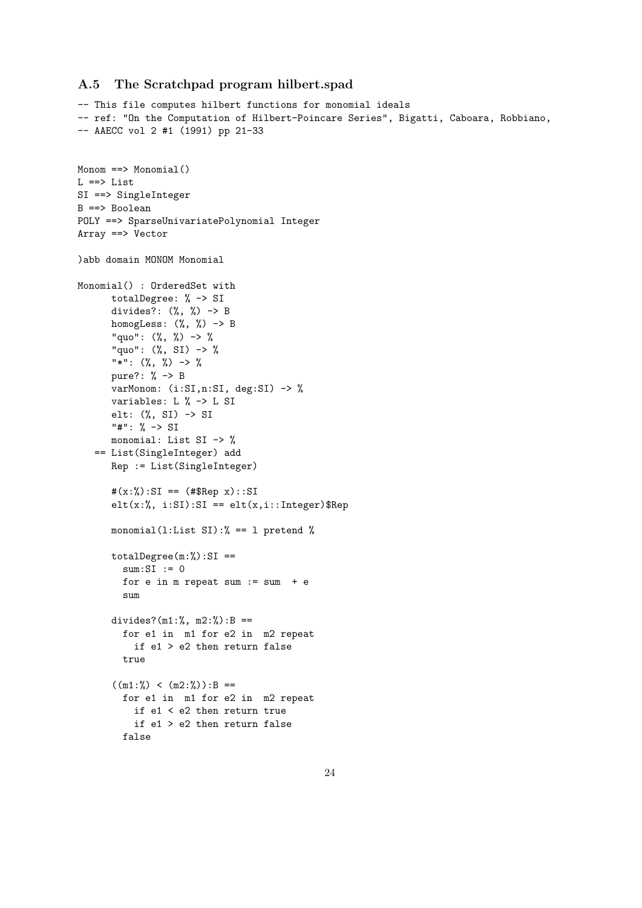#### A.5 The Scratchpad program hilbert.spad

```
-- This file computes hilbert functions for monomial ideals
-- ref: "On the Computation of Hilbert-Poincare Series", Bigatti, Caboara, Robbiano,
-- AAECC vol 2 #1 (1991) pp 21-33
Monom ==> Monomial()
L \implies ListSI ==> SingleInteger
B ==> Boolean
POLY ==> SparseUnivariatePolynomial Integer
Array ==> Vector
)abb domain MONOM Monomial
Monomial() : OrderedSet with
      totalDegree: % -> SI
      divides?: (%, %) -> B
      homogLess: (\%, \%) \rightarrow B"quo": (\%, \%) \rightarrow %
      "quo": (\%, \, \text{SI}) \rightarrow %
      "*": (\% , \% ) -> %
      pure?: % -> B
      varMonom: (i:SI,n:SI, deg:SI) -> %
      variables: L % -> L SI
      elt: (%, SI) -> SI
      "#": % -> SI
      monomial: List SI -> %
   == List(SingleInteger) add
      Rep := List(SingleInteger)
      #(x:\%) : SI == (#$Rep x) :: SIelt(x:\text{\textbf{W}}, i:SI):SI == elt(x,i::Integer)$Rep
      monomial(l:List SI):\frac{9}{6} == 1 pretend \frac{9}{6}totalDegree(m:\%) : SI ==sum:SI := 0for e in m repeat sum := sum + esum
      divides?(m1:\%, m2:\%) : B ==for e1 in m1 for e2 in m2 repeat
           if e1 > e2 then return false
        true
      ((m1:%) < (m2:%)): B ==
        for e1 in m1 for e2 in m2 repeat
          if e1 < e2 then return true
           if e1 > e2 then return false
        false
```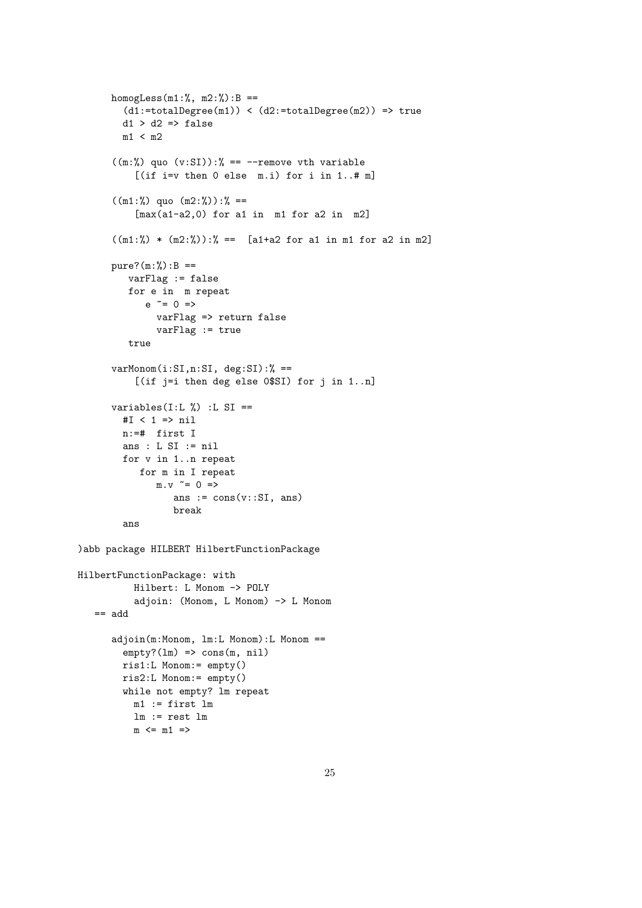```
homogLess(m1:\%, m2:\%) : B ==(d1:=totalDegree(m1)) < (d2:=totalDegree(m2)) => true
        d1 > d2 \Rightarrow falsem1 < m2
      ((m:%) quo (v:SI)):% == --remove vth variable
          [(if i=v then 0 else m.i) for i in 1..# m]((m1:%) quo (m2:%):% ==
          [\text{max}(a1-a2,0) for a1 in m1 for a2 in m2]
      ((m1:%) * (m2:%)): == [a1+a2 for a1 in m1 for a2 in m2]
      pure?(m:%):B ==
         varFlag := false
         for e in m repeat
            e^{-z} = 0 \RightarrowvarFlag => return false
              varFlag := true
         true
      varMonom(i:SI,n:SI, deg:SI):% ==
          [(if j=i then deg else 0$SI) for j in 1..n]
      variables(I:L \%) :L SI ==
        #I < 1 => nil
        n:=# first I
        ans : L SI := nilfor v in 1..n repeat
           for m in I repeat
              m.v \tilde{} = 0 \Rightarrowans := \cos(v::S I, ans)break
        ans
)abb package HILBERT HilbertFunctionPackage
HilbertFunctionPackage: with
          Hilbert: L Monom -> POLY
          adjoin: (Monom, L Monom) -> L Monom
   == add
      adjoin(m:Monom, lm:L Monom):L Monom ==
        empty?(lm) => cons(m, nil)
        ris1:L Monom:= empty()
        ris2:L Monom:= empty()
        while not empty? lm repeat
         ml := first lmlm := rest lm
          m \leq m1 \implies
```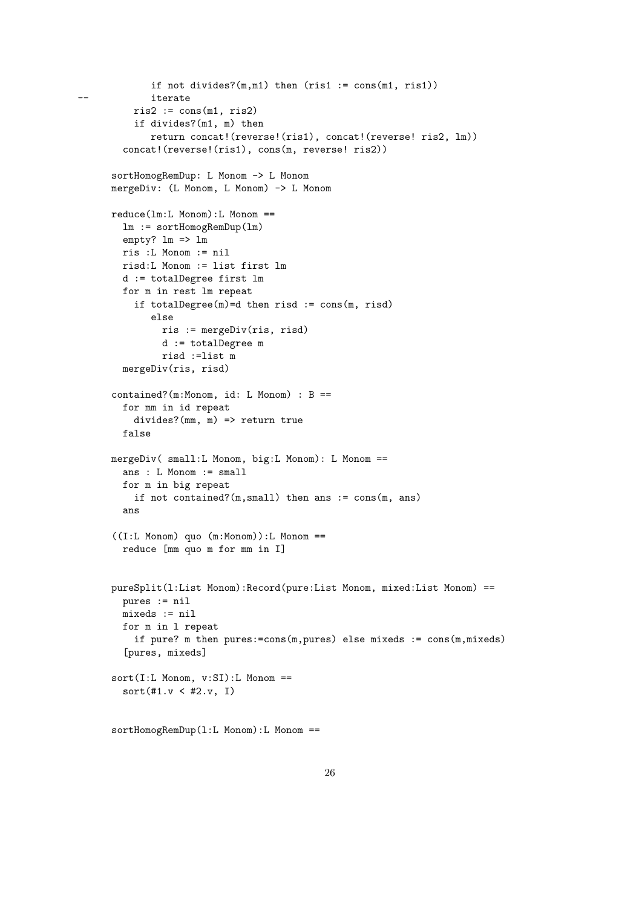```
if not divides?(m,m1) then (ris1 := const(m1, ris1))-- iterate
         ris2 := cons(m1, ris2)if divides?(m1, m) then
             return concat!(reverse!(ris1), concat!(reverse! ris2, lm))
        concat!(reverse!(ris1), cons(m, reverse! ris2))
      sortHomogRemDup: L Monom -> L Monom
     mergeDiv: (L Monom, L Monom) -> L Monom
     reduce(lm:L Monom):L Monom ==
       lm := sortHomogRemDup(lm)
       empty? lm => lm
       ris :L Monom := nil
       risd:L Monom := list first lm
       d := totalDegree first lm
       for m in rest lm repeat
         if totalDegree(m)=d then risd := cons(m, risd)
             else
               ris := mergeDiv(ris, risd)
              d := totalDegree m
              risd :=list m
        mergeDiv(ris, risd)
      contained?(m:Monom, id: L Monom) : B ==
       for mm in id repeat
         divides?(mm, m) => return true
       false
     mergeDiv( small:L Monom, big:L Monom): L Monom ==
        ans : L Monom := small
       for m in big repeat
         if not contained?(m,small) then ans := cons(m, ans)
        ans
      ((I:L Monom) quo (m:Monom)): L Monom ==reduce [mm quo m for mm in I]
     pureSplit(l:List Monom):Record(pure:List Monom, mixed:List Monom) ==
       pures := nil
       mixeds := nil
       for m in l repeat
          if pure? m then pures:=cons(m,pures) else mixeds := cons(m,mixeds)
        [pures, mixeds]
      sort(I:L Monom, v:SI):L Monom ==
       sort(\text{\#1.v} < \text{\#2.v}, I)
```

```
sortHomogRemDup(l:L Monom):L Monom ==
```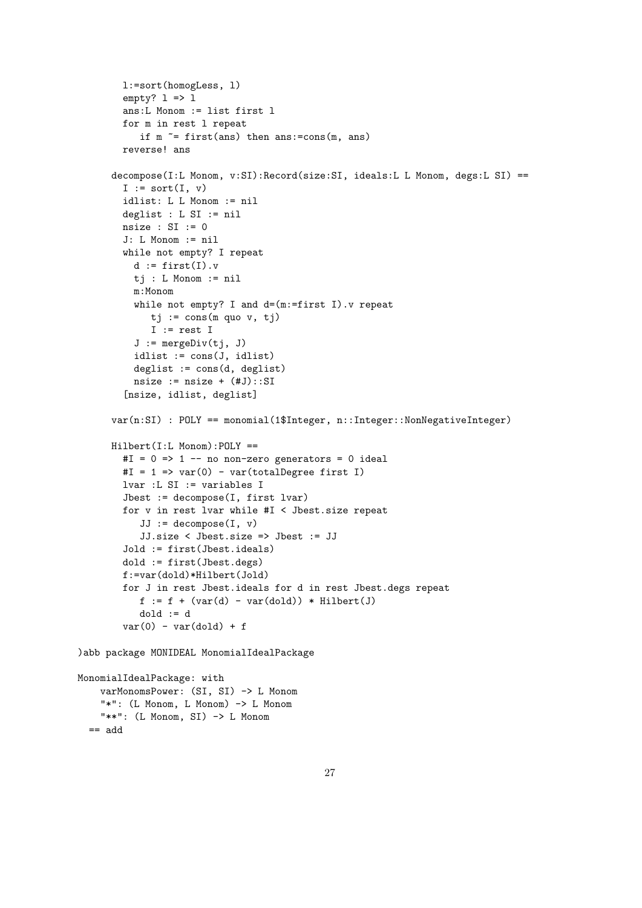```
l:=sort(homogLess, l)
        empty? l \Rightarrow lans:L Monom := list first l
        for m in rest l repeat
           if m \tilde{ } = first(ans) then ans:=cons(m, ans)
        reverse! ans
      decompose(I:L Monom, v:SI):Record(size:SI, ideals:L L Monom, degs:L SI) ==
        I := sort(I, v)idlist: L L Monom := nil
        deglist : L SI := nil
        nsize : SI := 0
        J: L Monom := nil
        while not empty? I repeat
          d := first(I).vtj : L Monom := nil
          m:Monom
          while not empty? I and d=(m:=first I). v repeat
             tj := const(m quo v, tj)I := \text{rest } IJ := mergeDiv(tj, J)idlist := cons(J, idlist)
          deglist := cons(d, deglist)
          nsize := nsize + (#J):SI
        [nsize, idlist, deglist]
      var(n:SI) : POLY == monomial(1$Integer, n::Integer::NonNegativeInteger)
     Hilbert(I:L Monom):POLY ==
        #I = 0 \Rightarrow 1 -- no non-zero generators = 0 ideal
        #I = 1 => var(0) - var(totalDegree first I)
        lvar :L SI := variables I
        Jbest := decompose(I, first lvar)
        for v in rest lvar while #I < Jbest.size repeat
           JJ := decompose(I, v)JJ.size < Jbest.size => Jbest := JJ
        Jold := first(Jbest.ideals)
        dold := first(Jbest.degs)
        f:=var(dold)*Hilbert(Jold)
        for J in rest Jbest.ideals for d in rest Jbest.degs repeat
           f := f + (var(d) - var(dold)) * Hilbert(J)dold := d
        var(0) - var(dold) + f)abb package MONIDEAL MonomialIdealPackage
```

```
MonomialIdealPackage: with
   varMonomsPower: (SI, SI) -> L Monom
    "*": (L Monom, L Monom) -> L Monom
    "***": (L Monom, SI) -> L Monom
 == add
```